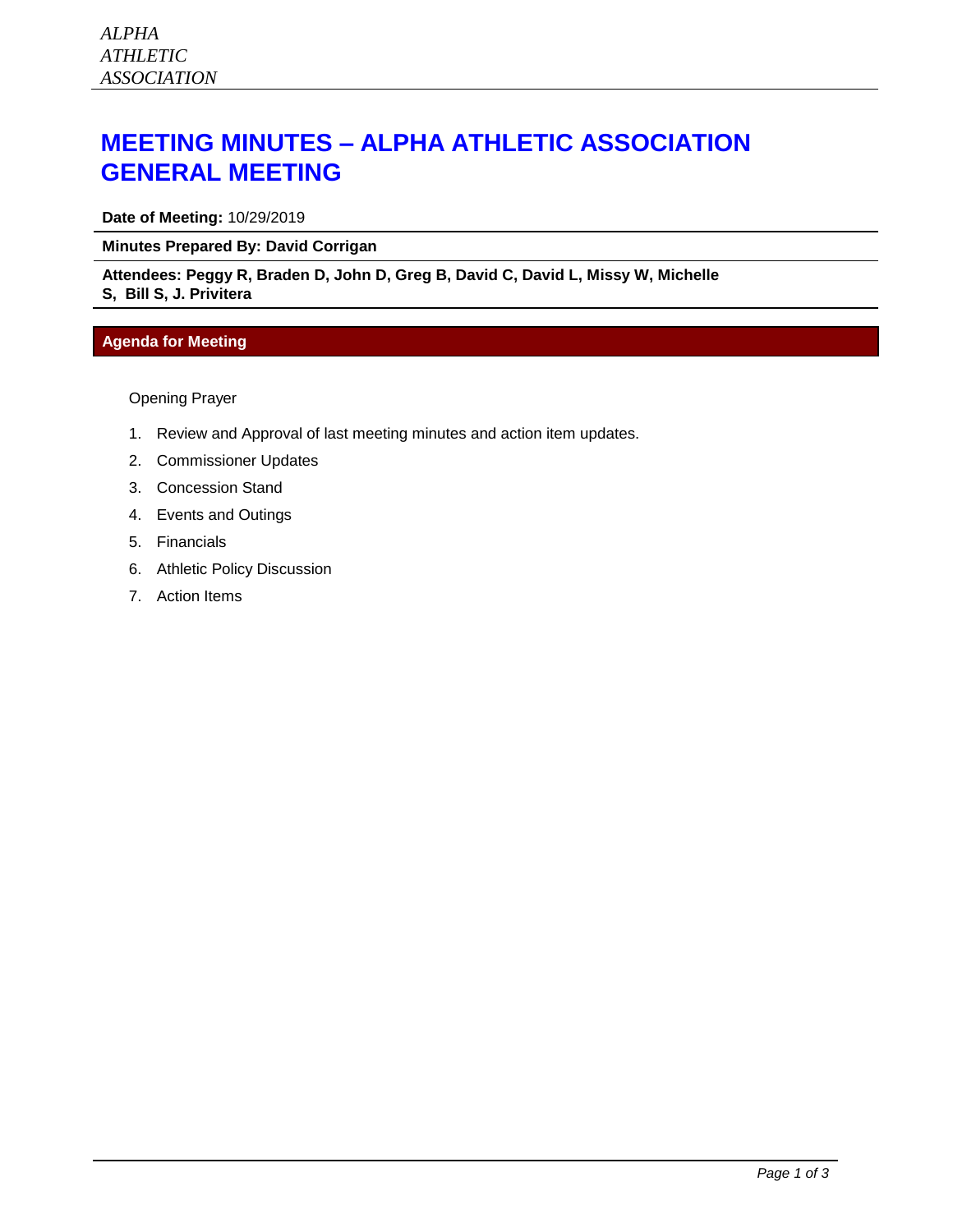# **MEETING MINUTES – ALPHA ATHLETIC ASSOCIATION GENERAL MEETING**

**Date of Meeting:** 10/29/2019

### **Minutes Prepared By: David Corrigan**

#### **Attendees: Peggy R, Braden D, John D, Greg B, David C, David L, Missy W, Michelle S, Bill S, J. Privitera**

## **Agenda for Meeting**

Opening Prayer

- 1. Review and Approval of last meeting minutes and action item updates.
- 2. Commissioner Updates
- 3. Concession Stand
- 4. Events and Outings
- 5. Financials
- 6. Athletic Policy Discussion
- 7. Action Items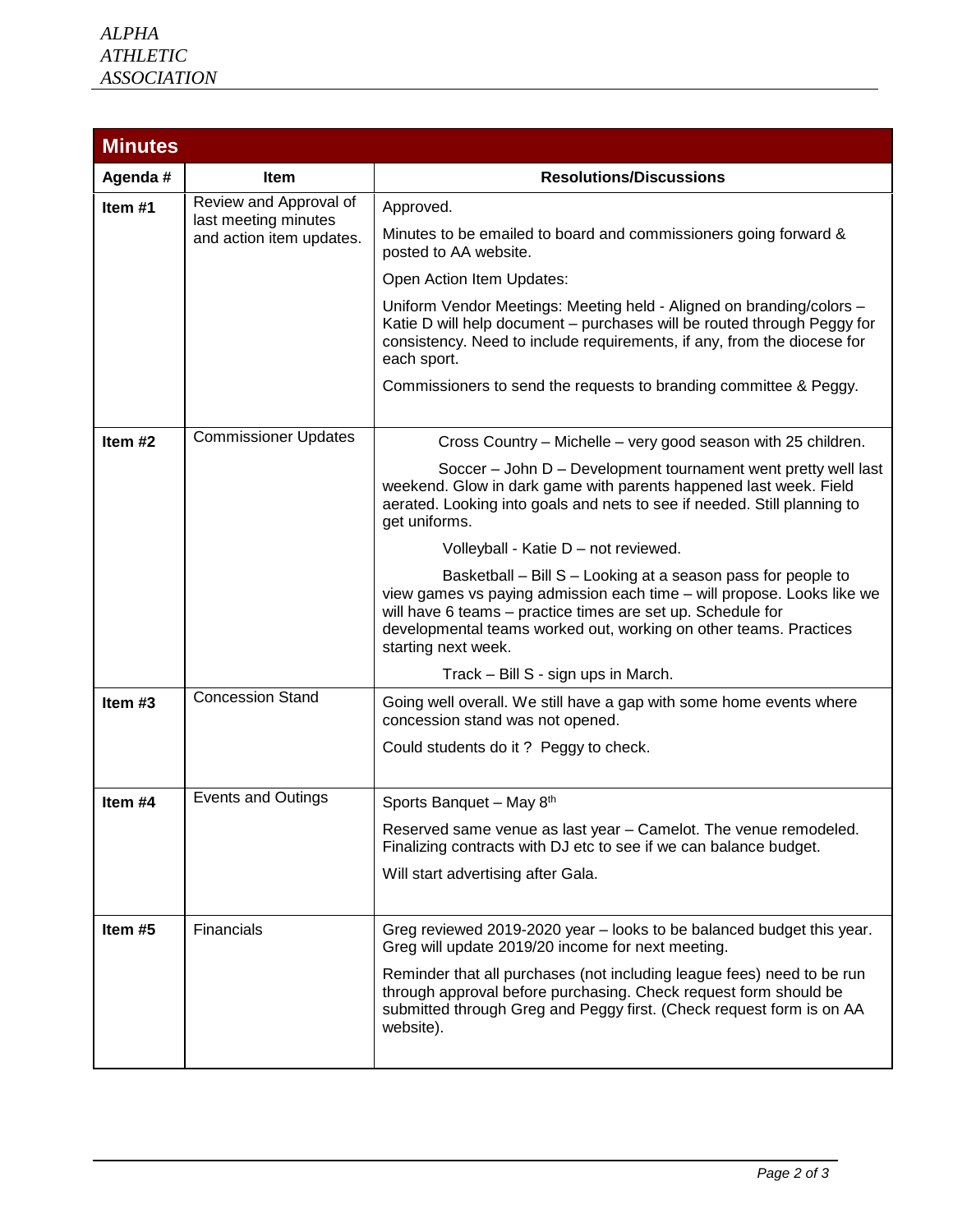| <b>Minutes</b> |                                                                            |                                                                                                                                                                                                                                                                                                   |  |  |  |
|----------------|----------------------------------------------------------------------------|---------------------------------------------------------------------------------------------------------------------------------------------------------------------------------------------------------------------------------------------------------------------------------------------------|--|--|--|
| Agenda #       | Item                                                                       | <b>Resolutions/Discussions</b>                                                                                                                                                                                                                                                                    |  |  |  |
| Item $#1$      | Review and Approval of<br>last meeting minutes<br>and action item updates. | Approved.                                                                                                                                                                                                                                                                                         |  |  |  |
|                |                                                                            | Minutes to be emailed to board and commissioners going forward &<br>posted to AA website.                                                                                                                                                                                                         |  |  |  |
|                |                                                                            | Open Action Item Updates:                                                                                                                                                                                                                                                                         |  |  |  |
|                |                                                                            | Uniform Vendor Meetings: Meeting held - Aligned on branding/colors -<br>Katie D will help document - purchases will be routed through Peggy for<br>consistency. Need to include requirements, if any, from the diocese for<br>each sport.                                                         |  |  |  |
|                |                                                                            | Commissioners to send the requests to branding committee & Peggy.                                                                                                                                                                                                                                 |  |  |  |
| Item $#2$      | <b>Commissioner Updates</b>                                                | Cross Country - Michelle - very good season with 25 children.                                                                                                                                                                                                                                     |  |  |  |
|                |                                                                            | Soccer - John D - Development tournament went pretty well last<br>weekend. Glow in dark game with parents happened last week. Field<br>aerated. Looking into goals and nets to see if needed. Still planning to<br>get uniforms.                                                                  |  |  |  |
|                |                                                                            | Volleyball - Katie D - not reviewed.                                                                                                                                                                                                                                                              |  |  |  |
|                |                                                                            | Basketball - Bill S - Looking at a season pass for people to<br>view games vs paying admission each time - will propose. Looks like we<br>will have 6 teams - practice times are set up. Schedule for<br>developmental teams worked out, working on other teams. Practices<br>starting next week. |  |  |  |
|                |                                                                            | Track - Bill S - sign ups in March.                                                                                                                                                                                                                                                               |  |  |  |
| Item $#3$      | <b>Concession Stand</b>                                                    | Going well overall. We still have a gap with some home events where<br>concession stand was not opened.                                                                                                                                                                                           |  |  |  |
|                |                                                                            | Could students do it? Peggy to check.                                                                                                                                                                                                                                                             |  |  |  |
| Item #4        | <b>Events and Outings</b>                                                  | Sports Banquet - May 8th                                                                                                                                                                                                                                                                          |  |  |  |
|                |                                                                            | Reserved same venue as last year - Camelot. The venue remodeled.<br>Finalizing contracts with DJ etc to see if we can balance budget.                                                                                                                                                             |  |  |  |
|                |                                                                            | Will start advertising after Gala.                                                                                                                                                                                                                                                                |  |  |  |
| Item #5        | <b>Financials</b>                                                          | Greg reviewed 2019-2020 year – looks to be balanced budget this year.<br>Greg will update 2019/20 income for next meeting.                                                                                                                                                                        |  |  |  |
|                |                                                                            | Reminder that all purchases (not including league fees) need to be run<br>through approval before purchasing. Check request form should be<br>submitted through Greg and Peggy first. (Check request form is on AA<br>website).                                                                   |  |  |  |